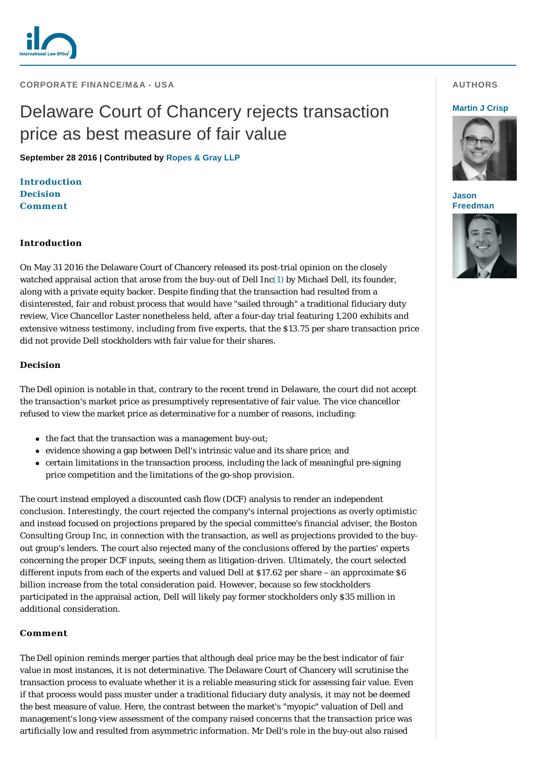

**CORPORATE FINANCE/M&A - USA** 

# Delaware Court of Chancery rejects transaction price as best measure of fair value

**September 28 2016 | Contributed by [Ropes & Gray LLP](http://www.internationallawoffice.com/gesr.ashx?l=7SJ8CLS)**

**[Introduction](#page-0-0) [Decision](#page-0-1) [Comment](#page-0-2)**

## <span id="page-0-0"></span>**Introduction**

On May 31 2016 the Delaware Court of Chancery released its post-trial opinion on the closely watched appraisal action that arose from the buy-out of Dell Inc[\(1\)](#page-1-0) by Michael Dell, its founder, along with a private equity backer. Despite finding that the transaction had resulted from a disinterested, fair and robust process that would have "sailed through" a traditional fiduciary duty review, Vice Chancellor Laster nonetheless held, after a four-day trial featuring 1,200 exhibits and extensive witness testimony, including from five experts, that the \$13.75 per share transaction price did not provide Dell stockholders with fair value for their shares.

## <span id="page-0-1"></span>**Decision**

The *Dell* opinion is notable in that, contrary to the recent trend in Delaware, the court did not accept the transaction's market price as presumptively representative of fair value. The vice chancellor refused to view the market price as determinative for a number of reasons, including:

- the fact that the transaction was a management buy-out;
- evidence showing a gap between Dell's intrinsic value and its share price; and
- certain limitations in the transaction process, including the lack of meaningful pre-signing price competition and the limitations of the go-shop provision.

The court instead employed a discounted cash flow (DCF) analysis to render an independent conclusion. Interestingly, the court rejected the company's internal projections as overly optimistic and instead focused on projections prepared by the special committee's financial adviser, the Boston Consulting Group Inc, in connection with the transaction, as well as projections provided to the buyout group's lenders. The court also rejected many of the conclusions offered by the parties' experts concerning the proper DCF inputs, seeing them as litigation-driven. Ultimately, the court selected different inputs from each of the experts and valued Dell at \$17.62 per share – an approximate \$6 billion increase from the total consideration paid. However, because so few stockholders participated in the appraisal action, Dell will likely pay former stockholders only \$35 million in additional consideration.

#### <span id="page-0-2"></span>**Comment**

The *Dell* opinion reminds merger parties that although deal price may be the best indicator of fair value in most instances, it is not determinative. The Delaware Court of Chancery will scrutinise the transaction process to evaluate whether it is a reliable measuring stick for assessing fair value. Even if that process would pass muster under a traditional fiduciary duty analysis, it may not be deemed the best measure of value. Here, the contrast between the market's "myopic" valuation of Dell and management's long-view assessment of the company raised concerns that the transaction price was artificially low and resulted from asymmetric information. Mr Dell's role in the buy-out also raised

# **AUTHORS**

#### **[Martin J Crisp](http://www.internationallawoffice.com/gesr.ashx?l=7SJ8CMA)**



**Jason [Freedman](http://www.internationallawoffice.com/gesr.ashx?l=7SJ8CMN)**